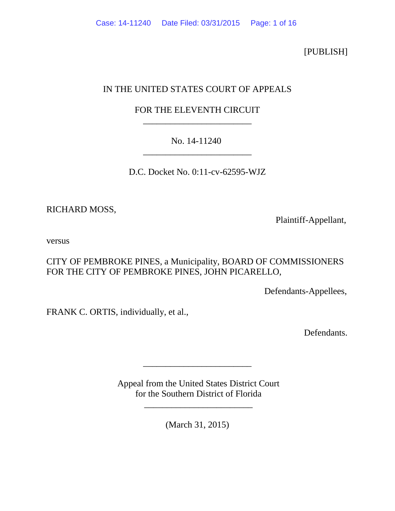[PUBLISH]

# IN THE UNITED STATES COURT OF APPEALS

# FOR THE ELEVENTH CIRCUIT \_\_\_\_\_\_\_\_\_\_\_\_\_\_\_\_\_\_\_\_\_\_\_\_

# No. 14-11240 \_\_\_\_\_\_\_\_\_\_\_\_\_\_\_\_\_\_\_\_\_\_\_\_

D.C. Docket No. 0:11-cv-62595-WJZ

RICHARD MOSS,

Plaintiff-Appellant,

versus

CITY OF PEMBROKE PINES, a Municipality, BOARD OF COMMISSIONERS FOR THE CITY OF PEMBROKE PINES, JOHN PICARELLO,

Defendants-Appellees,

FRANK C. ORTIS, individually, et al.,

Defendants.

Appeal from the United States District Court for the Southern District of Florida

\_\_\_\_\_\_\_\_\_\_\_\_\_\_\_\_\_\_\_\_\_\_\_\_

\_\_\_\_\_\_\_\_\_\_\_\_\_\_\_\_\_\_\_\_\_\_\_\_

(March 31, 2015)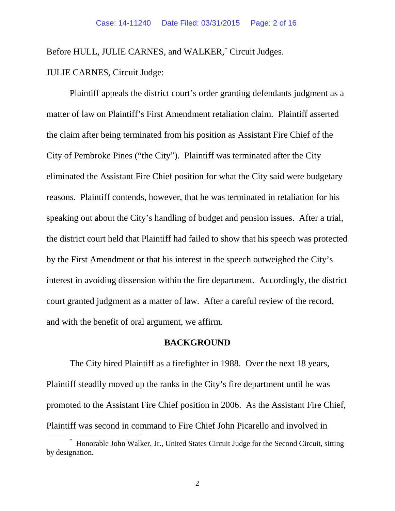Before HULL, JULIE CARNES, and WALKER, [\\*](#page-1-0) Circuit Judges.

JULIE CARNES, Circuit Judge:

Plaintiff appeals the district court's order granting defendants judgment as a matter of law on Plaintiff's First Amendment retaliation claim. Plaintiff asserted the claim after being terminated from his position as Assistant Fire Chief of the City of Pembroke Pines ("the City"). Plaintiff was terminated after the City eliminated the Assistant Fire Chief position for what the City said were budgetary reasons. Plaintiff contends, however, that he was terminated in retaliation for his speaking out about the City's handling of budget and pension issues. After a trial, the district court held that Plaintiff had failed to show that his speech was protected by the First Amendment or that his interest in the speech outweighed the City's interest in avoiding dissension within the fire department. Accordingly, the district court granted judgment as a matter of law. After a careful review of the record, and with the benefit of oral argument, we affirm.

# **BACKGROUND**

The City hired Plaintiff as a firefighter in 1988. Over the next 18 years, Plaintiff steadily moved up the ranks in the City's fire department until he was promoted to the Assistant Fire Chief position in 2006. As the Assistant Fire Chief, Plaintiff was second in command to Fire Chief John Picarello and involved in \*

<span id="page-1-0"></span>Honorable John Walker, Jr., United States Circuit Judge for the Second Circuit, sitting by designation.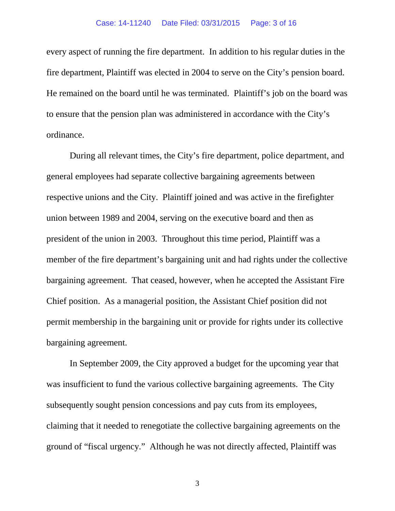every aspect of running the fire department. In addition to his regular duties in the fire department, Plaintiff was elected in 2004 to serve on the City's pension board. He remained on the board until he was terminated. Plaintiff's job on the board was to ensure that the pension plan was administered in accordance with the City's ordinance.

During all relevant times, the City's fire department, police department, and general employees had separate collective bargaining agreements between respective unions and the City. Plaintiff joined and was active in the firefighter union between 1989 and 2004, serving on the executive board and then as president of the union in 2003. Throughout this time period, Plaintiff was a member of the fire department's bargaining unit and had rights under the collective bargaining agreement. That ceased, however, when he accepted the Assistant Fire Chief position. As a managerial position, the Assistant Chief position did not permit membership in the bargaining unit or provide for rights under its collective bargaining agreement.

In September 2009, the City approved a budget for the upcoming year that was insufficient to fund the various collective bargaining agreements. The City subsequently sought pension concessions and pay cuts from its employees, claiming that it needed to renegotiate the collective bargaining agreements on the ground of "fiscal urgency." Although he was not directly affected, Plaintiff was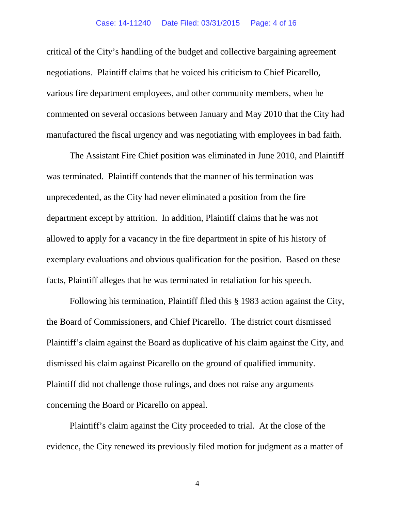critical of the City's handling of the budget and collective bargaining agreement negotiations. Plaintiff claims that he voiced his criticism to Chief Picarello, various fire department employees, and other community members, when he commented on several occasions between January and May 2010 that the City had manufactured the fiscal urgency and was negotiating with employees in bad faith.

The Assistant Fire Chief position was eliminated in June 2010, and Plaintiff was terminated. Plaintiff contends that the manner of his termination was unprecedented, as the City had never eliminated a position from the fire department except by attrition. In addition, Plaintiff claims that he was not allowed to apply for a vacancy in the fire department in spite of his history of exemplary evaluations and obvious qualification for the position. Based on these facts, Plaintiff alleges that he was terminated in retaliation for his speech.

Following his termination, Plaintiff filed this § 1983 action against the City, the Board of Commissioners, and Chief Picarello. The district court dismissed Plaintiff's claim against the Board as duplicative of his claim against the City, and dismissed his claim against Picarello on the ground of qualified immunity. Plaintiff did not challenge those rulings, and does not raise any arguments concerning the Board or Picarello on appeal.

Plaintiff's claim against the City proceeded to trial. At the close of the evidence, the City renewed its previously filed motion for judgment as a matter of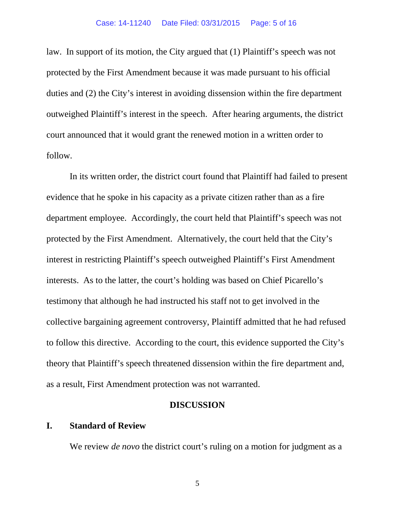law. In support of its motion, the City argued that (1) Plaintiff's speech was not protected by the First Amendment because it was made pursuant to his official duties and (2) the City's interest in avoiding dissension within the fire department outweighed Plaintiff's interest in the speech. After hearing arguments, the district court announced that it would grant the renewed motion in a written order to follow.

In its written order, the district court found that Plaintiff had failed to present evidence that he spoke in his capacity as a private citizen rather than as a fire department employee. Accordingly, the court held that Plaintiff's speech was not protected by the First Amendment. Alternatively, the court held that the City's interest in restricting Plaintiff's speech outweighed Plaintiff's First Amendment interests. As to the latter, the court's holding was based on Chief Picarello's testimony that although he had instructed his staff not to get involved in the collective bargaining agreement controversy, Plaintiff admitted that he had refused to follow this directive. According to the court, this evidence supported the City's theory that Plaintiff's speech threatened dissension within the fire department and, as a result, First Amendment protection was not warranted.

# **DISCUSSION**

# **I. Standard of Review**

We review *de novo* the district court's ruling on a motion for judgment as a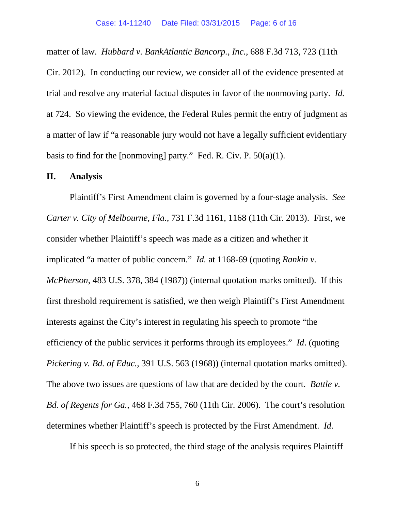matter of law. *Hubbard v. BankAtlantic Bancorp., Inc.*, 688 F.3d 713, 723 (11th Cir. 2012). In conducting our review, we consider all of the evidence presented at trial and resolve any material factual disputes in favor of the nonmoving party. *Id.*  at 724. So viewing the evidence, the Federal Rules permit the entry of judgment as a matter of law if "a reasonable jury would not have a legally sufficient evidentiary basis to find for the [nonmoving] party." Fed. R. Civ. P.  $50(a)(1)$ .

### **II. Analysis**

Plaintiff's First Amendment claim is governed by a four-stage analysis. *See Carter v. City of Melbourne, Fla.*, 731 F.3d 1161, 1168 (11th Cir. 2013). First, we consider whether Plaintiff's speech was made as a citizen and whether it implicated "a matter of public concern." *Id.* at 1168-69 (quoting *Rankin v. McPherson*, 483 U.S. 378, 384 (1987)) (internal quotation marks omitted). If this first threshold requirement is satisfied, we then weigh Plaintiff's First Amendment interests against the City's interest in regulating his speech to promote "the efficiency of the public services it performs through its employees." *Id*. (quoting *Pickering v. Bd. of Educ.*, 391 U.S. 563 (1968)) (internal quotation marks omitted). The above two issues are questions of law that are decided by the court. *Battle v. Bd. of Regents for Ga.*, 468 F.3d 755, 760 (11th Cir. 2006). The court's resolution determines whether Plaintiff's speech is protected by the First Amendment. *Id.*

If his speech is so protected, the third stage of the analysis requires Plaintiff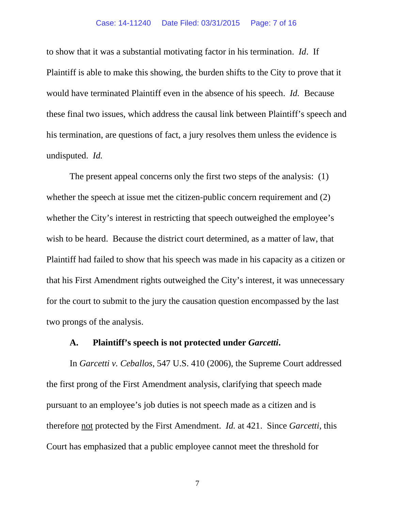#### Case: 14-11240 Date Filed: 03/31/2015 Page: 7 of 16

to show that it was a substantial motivating factor in his termination. *Id*. If Plaintiff is able to make this showing, the burden shifts to the City to prove that it would have terminated Plaintiff even in the absence of his speech. *Id.* Because these final two issues, which address the causal link between Plaintiff's speech and his termination, are questions of fact, a jury resolves them unless the evidence is undisputed. *Id.*

The present appeal concerns only the first two steps of the analysis: (1) whether the speech at issue met the citizen-public concern requirement and (2) whether the City's interest in restricting that speech outweighed the employee's wish to be heard. Because the district court determined, as a matter of law, that Plaintiff had failed to show that his speech was made in his capacity as a citizen or that his First Amendment rights outweighed the City's interest, it was unnecessary for the court to submit to the jury the causation question encompassed by the last two prongs of the analysis.

#### **A. Plaintiff's speech is not protected under** *Garcetti***.**

In *Garcetti v. Ceballos*, 547 U.S. 410 (2006), the Supreme Court addressed the first prong of the First Amendment analysis, clarifying that speech made pursuant to an employee's job duties is not speech made as a citizen and is therefore not protected by the First Amendment. *Id.* at 421. Since *Garcetti*, this Court has emphasized that a public employee cannot meet the threshold for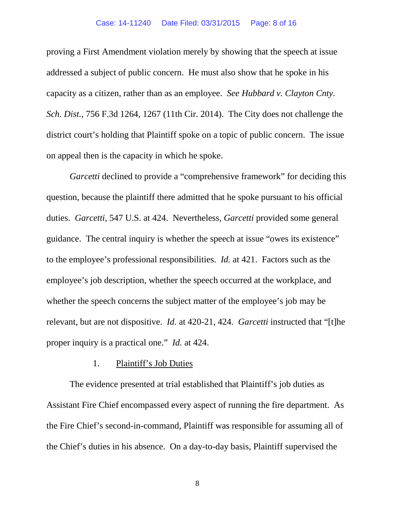#### Case: 14-11240 Date Filed: 03/31/2015 Page: 8 of 16

proving a First Amendment violation merely by showing that the speech at issue addressed a subject of public concern. He must also show that he spoke in his capacity as a citizen, rather than as an employee. *See Hubbard v. Clayton Cnty. Sch. Dist.*, 756 F.3d 1264, 1267 (11th Cir. 2014). The City does not challenge the district court's holding that Plaintiff spoke on a topic of public concern. The issue on appeal then is the capacity in which he spoke.

*Garcetti* declined to provide a "comprehensive framework" for deciding this question, because the plaintiff there admitted that he spoke pursuant to his official duties. *Garcetti*, 547 U.S. at 424. Nevertheless, *Garcetti* provided some general guidance. The central inquiry is whether the speech at issue "owes its existence" to the employee's professional responsibilities. *Id.* at 421. Factors such as the employee's job description, whether the speech occurred at the workplace, and whether the speech concerns the subject matter of the employee's job may be relevant, but are not dispositive. *Id.* at 420-21, 424. *Garcetti* instructed that "[t]he proper inquiry is a practical one." *Id.* at 424.

#### 1. Plaintiff's Job Duties

The evidence presented at trial established that Plaintiff's job duties as Assistant Fire Chief encompassed every aspect of running the fire department. As the Fire Chief's second-in-command, Plaintiff was responsible for assuming all of the Chief's duties in his absence. On a day-to-day basis, Plaintiff supervised the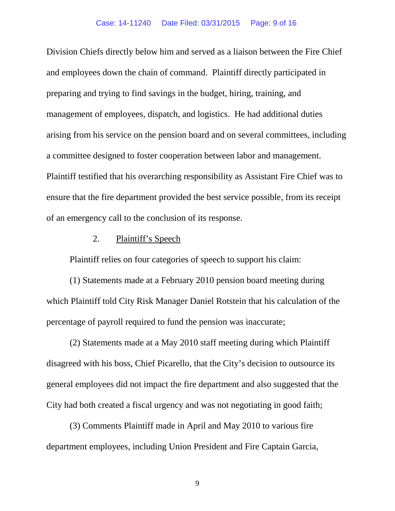Division Chiefs directly below him and served as a liaison between the Fire Chief and employees down the chain of command. Plaintiff directly participated in preparing and trying to find savings in the budget, hiring, training, and management of employees, dispatch, and logistics. He had additional duties arising from his service on the pension board and on several committees, including a committee designed to foster cooperation between labor and management. Plaintiff testified that his overarching responsibility as Assistant Fire Chief was to ensure that the fire department provided the best service possible, from its receipt of an emergency call to the conclusion of its response.

# 2. Plaintiff's Speech

Plaintiff relies on four categories of speech to support his claim:

(1) Statements made at a February 2010 pension board meeting during which Plaintiff told City Risk Manager Daniel Rotstein that his calculation of the percentage of payroll required to fund the pension was inaccurate;

(2) Statements made at a May 2010 staff meeting during which Plaintiff disagreed with his boss, Chief Picarello, that the City's decision to outsource its general employees did not impact the fire department and also suggested that the City had both created a fiscal urgency and was not negotiating in good faith;

(3) Comments Plaintiff made in April and May 2010 to various fire department employees, including Union President and Fire Captain Garcia,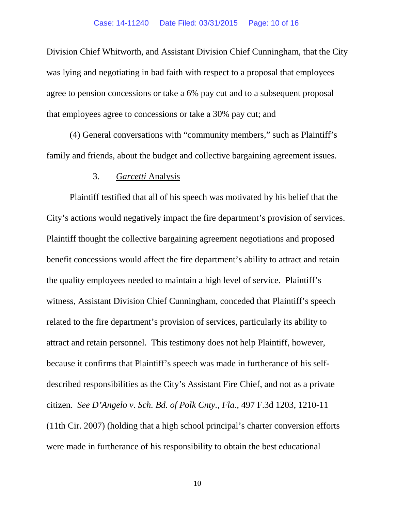Division Chief Whitworth, and Assistant Division Chief Cunningham, that the City was lying and negotiating in bad faith with respect to a proposal that employees agree to pension concessions or take a 6% pay cut and to a subsequent proposal that employees agree to concessions or take a 30% pay cut; and

(4) General conversations with "community members," such as Plaintiff's family and friends, about the budget and collective bargaining agreement issues.

### 3. *Garcetti* Analysis

Plaintiff testified that all of his speech was motivated by his belief that the City's actions would negatively impact the fire department's provision of services. Plaintiff thought the collective bargaining agreement negotiations and proposed benefit concessions would affect the fire department's ability to attract and retain the quality employees needed to maintain a high level of service. Plaintiff's witness, Assistant Division Chief Cunningham, conceded that Plaintiff's speech related to the fire department's provision of services, particularly its ability to attract and retain personnel. This testimony does not help Plaintiff, however, because it confirms that Plaintiff's speech was made in furtherance of his selfdescribed responsibilities as the City's Assistant Fire Chief, and not as a private citizen. *See D'Angelo v. Sch. Bd. of Polk Cnty., Fla.,* 497 F.3d 1203, 1210-11 (11th Cir. 2007) (holding that a high school principal's charter conversion efforts were made in furtherance of his responsibility to obtain the best educational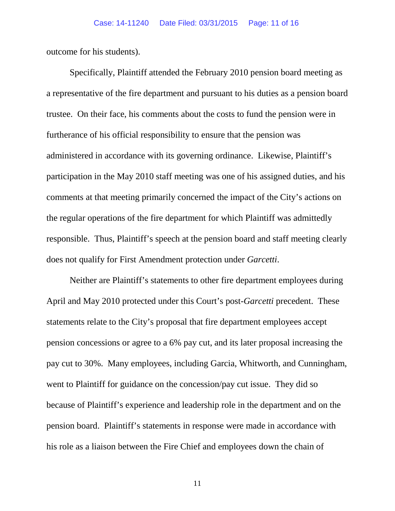outcome for his students).

Specifically, Plaintiff attended the February 2010 pension board meeting as a representative of the fire department and pursuant to his duties as a pension board trustee. On their face, his comments about the costs to fund the pension were in furtherance of his official responsibility to ensure that the pension was administered in accordance with its governing ordinance. Likewise, Plaintiff's participation in the May 2010 staff meeting was one of his assigned duties, and his comments at that meeting primarily concerned the impact of the City's actions on the regular operations of the fire department for which Plaintiff was admittedly responsible. Thus, Plaintiff's speech at the pension board and staff meeting clearly does not qualify for First Amendment protection under *Garcetti*.

Neither are Plaintiff's statements to other fire department employees during April and May 2010 protected under this Court's post-*Garcetti* precedent. These statements relate to the City's proposal that fire department employees accept pension concessions or agree to a 6% pay cut, and its later proposal increasing the pay cut to 30%. Many employees, including Garcia, Whitworth, and Cunningham, went to Plaintiff for guidance on the concession/pay cut issue. They did so because of Plaintiff's experience and leadership role in the department and on the pension board. Plaintiff's statements in response were made in accordance with his role as a liaison between the Fire Chief and employees down the chain of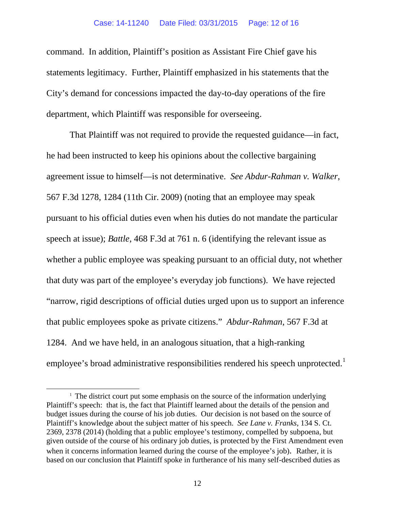command. In addition, Plaintiff's position as Assistant Fire Chief gave his statements legitimacy. Further, Plaintiff emphasized in his statements that the City's demand for concessions impacted the day-to-day operations of the fire department, which Plaintiff was responsible for overseeing.

That Plaintiff was not required to provide the requested guidance—in fact, he had been instructed to keep his opinions about the collective bargaining agreement issue to himself—is not determinative. *See Abdur-Rahman v. Walker*, 567 F.3d 1278, 1284 (11th Cir. 2009) (noting that an employee may speak pursuant to his official duties even when his duties do not mandate the particular speech at issue); *Battle*, 468 F.3d at 761 n. 6 (identifying the relevant issue as whether a public employee was speaking pursuant to an official duty, not whether that duty was part of the employee's everyday job functions). We have rejected "narrow, rigid descriptions of official duties urged upon us to support an inference that public employees spoke as private citizens." *Abdur-Rahman*, 567 F.3d at 1284. And we have held, in an analogous situation, that a high-ranking employee's broad administrative responsibilities rendered his speech unprotected.<sup>[1](#page-11-0)</sup>

<span id="page-11-0"></span> $1$ . The district court put some emphasis on the source of the information underlying Plaintiff's speech: that is, the fact that Plaintiff learned about the details of the pension and budget issues during the course of his job duties. Our decision is not based on the source of Plaintiff's knowledge about the subject matter of his speech. *See Lane v. Franks*, 134 S. Ct. 2369, 2378 (2014) (holding that a public employee's testimony, compelled by subpoena, but given outside of the course of his ordinary job duties, is protected by the First Amendment even when it concerns information learned during the course of the employee's job). Rather, it is based on our conclusion that Plaintiff spoke in furtherance of his many self-described duties as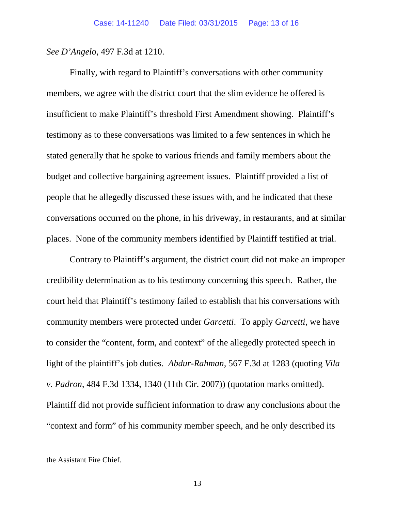*See D'Angelo*, 497 F.3d at 1210.

Finally, with regard to Plaintiff's conversations with other community members, we agree with the district court that the slim evidence he offered is insufficient to make Plaintiff's threshold First Amendment showing. Plaintiff's testimony as to these conversations was limited to a few sentences in which he stated generally that he spoke to various friends and family members about the budget and collective bargaining agreement issues. Plaintiff provided a list of people that he allegedly discussed these issues with, and he indicated that these conversations occurred on the phone, in his driveway, in restaurants, and at similar places. None of the community members identified by Plaintiff testified at trial.

Contrary to Plaintiff's argument, the district court did not make an improper credibility determination as to his testimony concerning this speech. Rather, the court held that Plaintiff's testimony failed to establish that his conversations with community members were protected under *Garcetti*. To apply *Garcetti*, we have to consider the "content, form, and context" of the allegedly protected speech in light of the plaintiff's job duties. *Abdur-Rahman*, 567 F.3d at 1283 (quoting *Vila v. Padron*, 484 F.3d 1334, 1340 (11th Cir. 2007)) (quotation marks omitted). Plaintiff did not provide sufficient information to draw any conclusions about the "context and form" of his community member speech, and he only described its

 $\overline{a}$ 

the Assistant Fire Chief.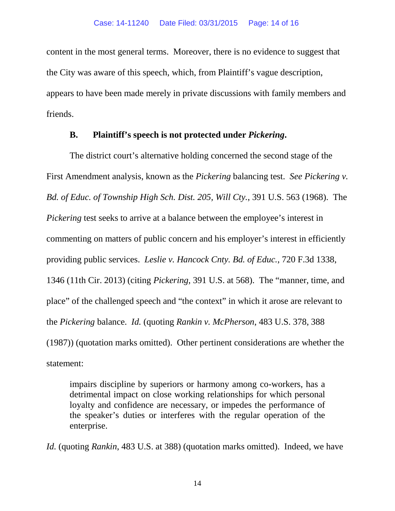content in the most general terms. Moreover, there is no evidence to suggest that the City was aware of this speech, which, from Plaintiff's vague description, appears to have been made merely in private discussions with family members and friends.

# **B. Plaintiff's speech is not protected under** *Pickering***.**

The district court's alternative holding concerned the second stage of the First Amendment analysis, known as the *Pickering* balancing test. *See Pickering v. Bd. of Educ. of Township High Sch. Dist. 205, Will Cty.*, 391 U.S. 563 (1968). The *Pickering* test seeks to arrive at a balance between the employee's interest in commenting on matters of public concern and his employer's interest in efficiently providing public services. *Leslie v. Hancock Cnty. Bd. of Educ.*, 720 F.3d 1338, 1346 (11th Cir. 2013) (citing *Pickering*, 391 U.S. at 568). The "manner, time, and place" of the challenged speech and "the context" in which it arose are relevant to the *Pickering* balance. *Id.* (quoting *Rankin v. McPherson*, 483 U.S. 378, 388 (1987)) (quotation marks omitted). Other pertinent considerations are whether the statement:

impairs discipline by superiors or harmony among co-workers, has a detrimental impact on close working relationships for which personal loyalty and confidence are necessary, or impedes the performance of the speaker's duties or interferes with the regular operation of the enterprise.

*Id.* (quoting *Rankin*, 483 U.S. at 388) (quotation marks omitted). Indeed, we have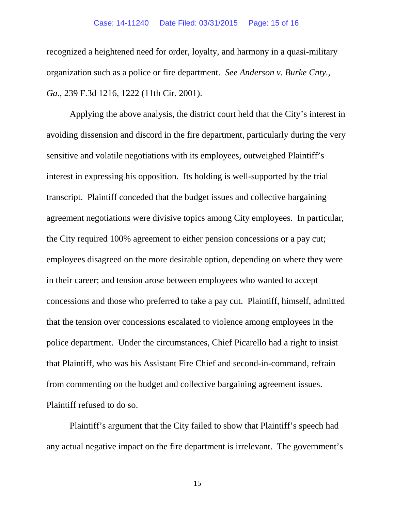#### Case: 14-11240 Date Filed: 03/31/2015 Page: 15 of 16

recognized a heightened need for order, loyalty, and harmony in a quasi-military organization such as a police or fire department. *See Anderson v. Burke Cnty., Ga.*, 239 F.3d 1216, 1222 (11th Cir. 2001).

Applying the above analysis, the district court held that the City's interest in avoiding dissension and discord in the fire department, particularly during the very sensitive and volatile negotiations with its employees, outweighed Plaintiff's interest in expressing his opposition. Its holding is well-supported by the trial transcript. Plaintiff conceded that the budget issues and collective bargaining agreement negotiations were divisive topics among City employees. In particular, the City required 100% agreement to either pension concessions or a pay cut; employees disagreed on the more desirable option, depending on where they were in their career; and tension arose between employees who wanted to accept concessions and those who preferred to take a pay cut. Plaintiff, himself, admitted that the tension over concessions escalated to violence among employees in the police department. Under the circumstances, Chief Picarello had a right to insist that Plaintiff, who was his Assistant Fire Chief and second-in-command, refrain from commenting on the budget and collective bargaining agreement issues. Plaintiff refused to do so.

Plaintiff's argument that the City failed to show that Plaintiff's speech had any actual negative impact on the fire department is irrelevant. The government's